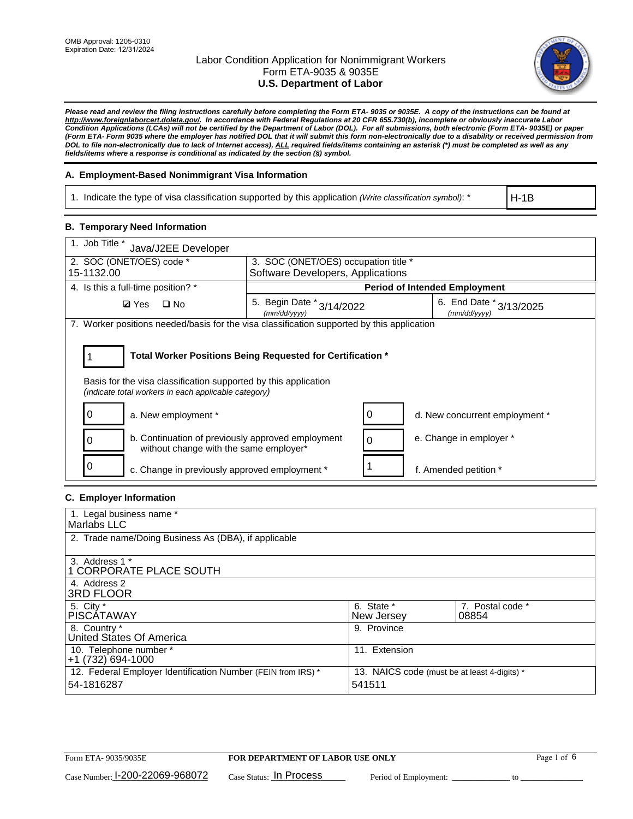

*Please read and review the filing instructions carefully before completing the Form ETA- 9035 or 9035E. A copy of the instructions can be found at http://www.foreignlaborcert.doleta.gov/. In accordance with Federal Regulations at 20 CFR 655.730(b), incomplete or obviously inaccurate Labor Condition Applications (LCAs) will not be certified by the Department of Labor (DOL). For all submissions, both electronic (Form ETA- 9035E) or paper (Form ETA- Form 9035 where the employer has notified DOL that it will submit this form non-electronically due to a disability or received permission from DOL to file non-electronically due to lack of Internet access), ALL required fields/items containing an asterisk (\*) must be completed as well as any fields/items where a response is conditional as indicated by the section (§) symbol.* 

### **A. Employment-Based Nonimmigrant Visa Information**

1. Indicate the type of visa classification supported by this application *(Write classification symbol)*: \*

H-1B

#### **B. Temporary Need Information**

| 1. Job Title *<br>Java/J2EE Developer                                                                                                                                                 |                                               |  |                                             |  |
|---------------------------------------------------------------------------------------------------------------------------------------------------------------------------------------|-----------------------------------------------|--|---------------------------------------------|--|
| 2. SOC (ONET/OES) code *<br>3. SOC (ONET/OES) occupation title *                                                                                                                      |                                               |  |                                             |  |
| 15-1132.00                                                                                                                                                                            | Software Developers, Applications             |  |                                             |  |
| 4. Is this a full-time position? *                                                                                                                                                    |                                               |  | <b>Period of Intended Employment</b>        |  |
| $\square$ No<br><b>Ø</b> Yes                                                                                                                                                          | 5. Begin Date $*_{3/14/2022}$<br>(mm/dd/yyyy) |  | 6. End Date $*_{3/13/2025}$<br>(mm/dd/yyyy) |  |
| 7. Worker positions needed/basis for the visa classification supported by this application                                                                                            |                                               |  |                                             |  |
| Total Worker Positions Being Requested for Certification *<br>Basis for the visa classification supported by this application<br>(indicate total workers in each applicable category) |                                               |  |                                             |  |
| a. New employment *                                                                                                                                                                   |                                               |  | d. New concurrent employment *              |  |
| b. Continuation of previously approved employment<br>without change with the same employer*                                                                                           |                                               |  | e. Change in employer *                     |  |
| c. Change in previously approved employment *                                                                                                                                         |                                               |  | f. Amended petition *                       |  |

### **C. Employer Information**

| 1. Legal business name *                                                   |                                                        |                           |
|----------------------------------------------------------------------------|--------------------------------------------------------|---------------------------|
| Marlabs LLC                                                                |                                                        |                           |
| 2. Trade name/Doing Business As (DBA), if applicable                       |                                                        |                           |
| 3. Address 1 *<br>1 CORPORATE PLACE SOUTH<br>4. Address 2                  |                                                        |                           |
| <b>3RD FLOOR</b>                                                           |                                                        |                           |
| 5. City *<br><b>PISCÁTAWAY</b>                                             | 6. State *<br>New Jersey                               | 7. Postal code *<br>08854 |
| 8. Country *<br>United States Of America                                   | 9. Province                                            |                           |
| 10. Telephone number *<br>$+1(732)694-1000$                                | 11. Extension                                          |                           |
| 12. Federal Employer Identification Number (FEIN from IRS) *<br>54-1816287 | 13. NAICS code (must be at least 4-digits) *<br>541511 |                           |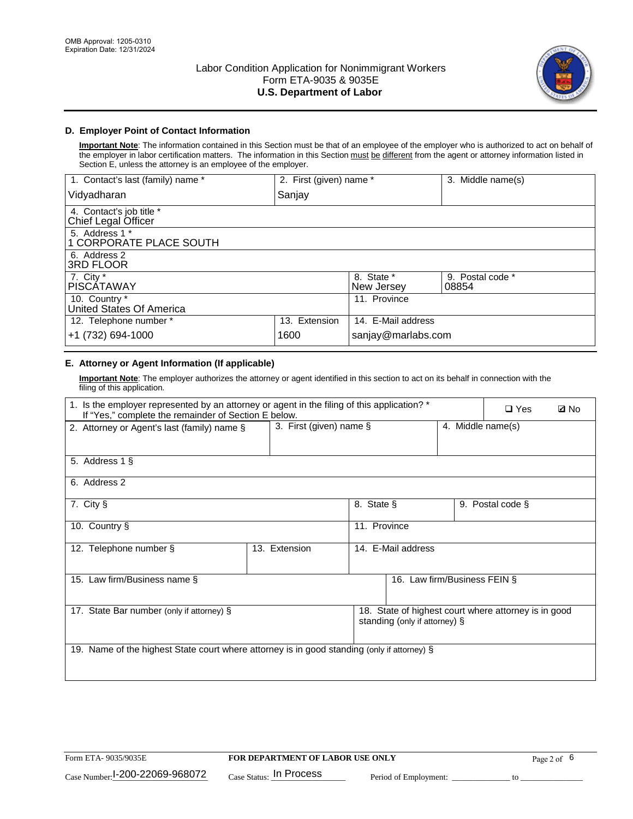

### **D. Employer Point of Contact Information**

**Important Note**: The information contained in this Section must be that of an employee of the employer who is authorized to act on behalf of the employer in labor certification matters. The information in this Section must be different from the agent or attorney information listed in Section E, unless the attorney is an employee of the employer.

| 1. Contact's last (family) name *               | 2. First (given) name * |                          | 3. Middle name(s)         |
|-------------------------------------------------|-------------------------|--------------------------|---------------------------|
| Vidyadharan                                     | Sanjay                  |                          |                           |
| 4. Contact's job title *<br>Chief Legal Officer |                         |                          |                           |
| 5. Address 1 *<br>1 CORPORATE PLACE SOUTH       |                         |                          |                           |
| 6. Address 2<br>3RD FLOOR                       |                         |                          |                           |
| 7. City $*$<br><b>PISCÁTAWAY</b>                |                         | 8. State *<br>New Jersey | 9. Postal code *<br>08854 |
| 10. Country *<br>United States Of America       |                         | 11. Province             |                           |
| 12. Telephone number *                          | 13. Extension           | 14. E-Mail address       |                           |
| +1 (732) 694-1000                               | 1600                    | sanjay@marlabs.com       |                           |

# **E. Attorney or Agent Information (If applicable)**

**Important Note**: The employer authorizes the attorney or agent identified in this section to act on its behalf in connection with the filing of this application.

| 1. Is the employer represented by an attorney or agent in the filing of this application? *<br>If "Yes," complete the remainder of Section E below. |                         |              |                               |                   | $\square$ Yes                                        | <b>ØNo</b> |
|-----------------------------------------------------------------------------------------------------------------------------------------------------|-------------------------|--------------|-------------------------------|-------------------|------------------------------------------------------|------------|
| 2. Attorney or Agent's last (family) name §                                                                                                         | 3. First (given) name § |              |                               | 4. Middle name(s) |                                                      |            |
| 5. Address 1 §                                                                                                                                      |                         |              |                               |                   |                                                      |            |
| 6. Address 2                                                                                                                                        |                         |              |                               |                   |                                                      |            |
| 7. City §                                                                                                                                           |                         | 8. State §   |                               |                   | 9. Postal code §                                     |            |
| 10. Country §                                                                                                                                       |                         | 11. Province |                               |                   |                                                      |            |
| 12. Telephone number §                                                                                                                              | 13. Extension           |              | 14. E-Mail address            |                   |                                                      |            |
| 15. Law firm/Business name §                                                                                                                        |                         |              | 16. Law firm/Business FEIN §  |                   |                                                      |            |
| 17. State Bar number (only if attorney) §                                                                                                           |                         |              | standing (only if attorney) § |                   | 18. State of highest court where attorney is in good |            |
| 19. Name of the highest State court where attorney is in good standing (only if attorney) §                                                         |                         |              |                               |                   |                                                      |            |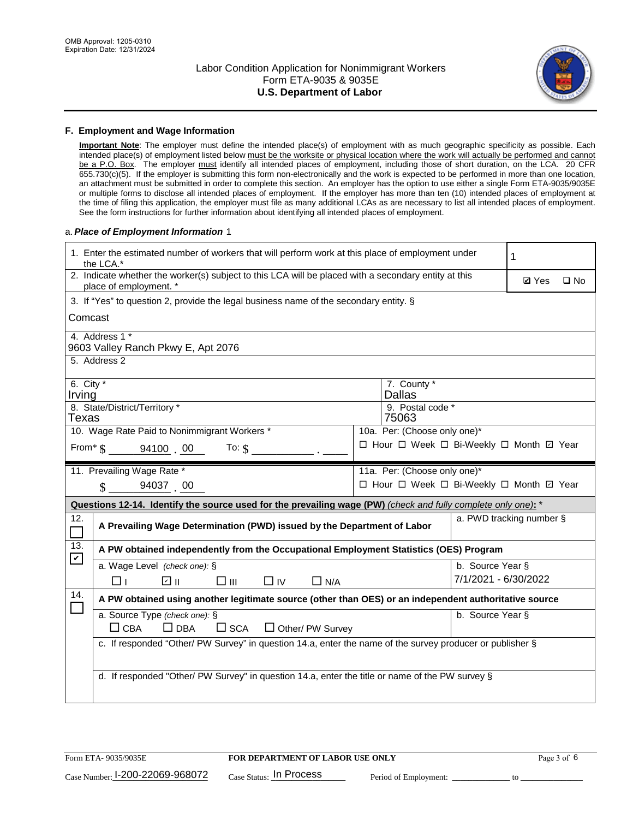

#### **F. Employment and Wage Information**

**Important Note**: The employer must define the intended place(s) of employment with as much geographic specificity as possible. Each intended place(s) of employment listed below must be the worksite or physical location where the work will actually be performed and cannot be a P.O. Box. The employer must identify all intended places of employment, including those of short duration, on the LCA. 20 CFR 655.730(c)(5). If the employer is submitting this form non-electronically and the work is expected to be performed in more than one location, an attachment must be submitted in order to complete this section. An employer has the option to use either a single Form ETA-9035/9035E or multiple forms to disclose all intended places of employment. If the employer has more than ten (10) intended places of employment at the time of filing this application, the employer must file as many additional LCAs as are necessary to list all intended places of employment. See the form instructions for further information about identifying all intended places of employment.

#### a.*Place of Employment Information* 1

|                                                                              | 1. Enter the estimated number of workers that will perform work at this place of employment under<br>the LCA.*                 |  | 1                                        |                      |                          |              |  |
|------------------------------------------------------------------------------|--------------------------------------------------------------------------------------------------------------------------------|--|------------------------------------------|----------------------|--------------------------|--------------|--|
|                                                                              | 2. Indicate whether the worker(s) subject to this LCA will be placed with a secondary entity at this<br>place of employment. * |  |                                          |                      | <b>Ø</b> Yes             | $\square$ No |  |
|                                                                              | 3. If "Yes" to question 2, provide the legal business name of the secondary entity. §                                          |  |                                          |                      |                          |              |  |
|                                                                              | Comcast                                                                                                                        |  |                                          |                      |                          |              |  |
|                                                                              | 4. Address 1 *<br>9603 Valley Ranch Pkwy E, Apt 2076                                                                           |  |                                          |                      |                          |              |  |
|                                                                              | 5. Address 2                                                                                                                   |  |                                          |                      |                          |              |  |
| Irving                                                                       | 6. City $*$<br>7. County *<br><b>Dallas</b>                                                                                    |  |                                          |                      |                          |              |  |
|                                                                              | 8. State/District/Territory *<br>9. Postal code *<br>Texas<br>75063                                                            |  |                                          |                      |                          |              |  |
| 10. Wage Rate Paid to Nonimmigrant Workers *<br>10a. Per: (Choose only one)* |                                                                                                                                |  |                                          |                      |                          |              |  |
|                                                                              | □ Hour □ Week □ Bi-Weekly □ Month ☑ Year<br>From* \$ 94100 00<br>To: $\mathcal{S}$                                             |  |                                          |                      |                          |              |  |
|                                                                              | 11. Prevailing Wage Rate *<br>11a. Per: (Choose only one)*                                                                     |  |                                          |                      |                          |              |  |
|                                                                              | $\sin 94037 00$                                                                                                                |  | □ Hour □ Week □ Bi-Weekly □ Month ☑ Year |                      |                          |              |  |
|                                                                              | Questions 12-14. Identify the source used for the prevailing wage (PW) (check and fully complete only one): *                  |  |                                          |                      |                          |              |  |
| 12.<br>$\Box$                                                                | A Prevailing Wage Determination (PWD) issued by the Department of Labor                                                        |  |                                          |                      | a. PWD tracking number § |              |  |
| 13.                                                                          | A PW obtained independently from the Occupational Employment Statistics (OES) Program                                          |  |                                          |                      |                          |              |  |
| $\mathbf v$                                                                  | a. Wage Level (check one): §                                                                                                   |  |                                          | b. Source Year §     |                          |              |  |
|                                                                              | ☑ ⊪<br>$\square$ $\square$<br>$\Box$ IV<br>$\Box$ N/A<br>□⊥                                                                    |  |                                          | 7/1/2021 - 6/30/2022 |                          |              |  |
| 14.                                                                          | A PW obtained using another legitimate source (other than OES) or an independent authoritative source                          |  |                                          |                      |                          |              |  |
|                                                                              | a. Source Type (check one): §<br>$\Box$ CBA<br>$\Box$ DBA<br>$\square$ SCA<br>$\Box$ Other/ PW Survey                          |  |                                          | b. Source Year §     |                          |              |  |
|                                                                              | c. If responded "Other/ PW Survey" in question 14.a, enter the name of the survey producer or publisher §                      |  |                                          |                      |                          |              |  |
|                                                                              | d. If responded "Other/ PW Survey" in question 14.a, enter the title or name of the PW survey §                                |  |                                          |                      |                          |              |  |
|                                                                              |                                                                                                                                |  |                                          |                      |                          |              |  |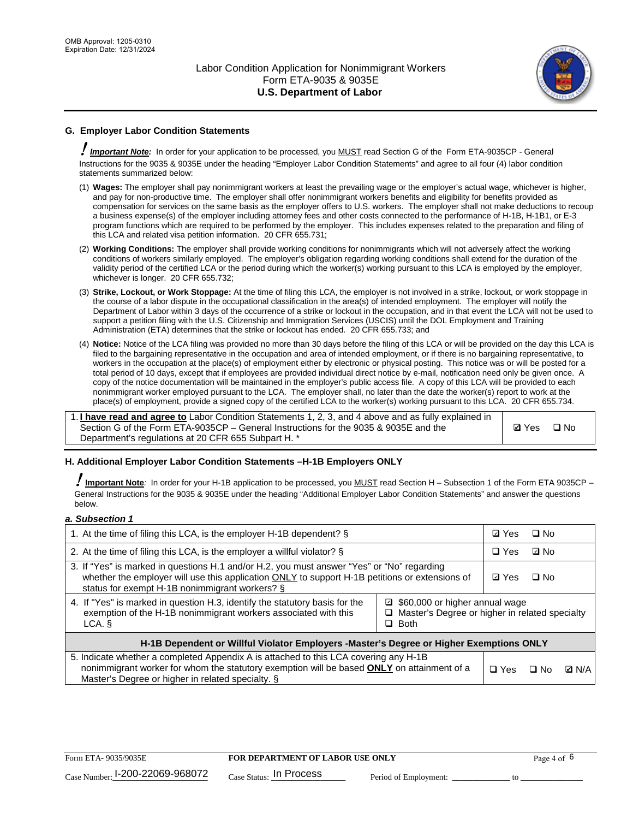

# **G. Employer Labor Condition Statements**

! *Important Note:* In order for your application to be processed, you MUST read Section G of the Form ETA-9035CP - General Instructions for the 9035 & 9035E under the heading "Employer Labor Condition Statements" and agree to all four (4) labor condition statements summarized below:

- (1) **Wages:** The employer shall pay nonimmigrant workers at least the prevailing wage or the employer's actual wage, whichever is higher, and pay for non-productive time. The employer shall offer nonimmigrant workers benefits and eligibility for benefits provided as compensation for services on the same basis as the employer offers to U.S. workers. The employer shall not make deductions to recoup a business expense(s) of the employer including attorney fees and other costs connected to the performance of H-1B, H-1B1, or E-3 program functions which are required to be performed by the employer. This includes expenses related to the preparation and filing of this LCA and related visa petition information. 20 CFR 655.731;
- (2) **Working Conditions:** The employer shall provide working conditions for nonimmigrants which will not adversely affect the working conditions of workers similarly employed. The employer's obligation regarding working conditions shall extend for the duration of the validity period of the certified LCA or the period during which the worker(s) working pursuant to this LCA is employed by the employer, whichever is longer. 20 CFR 655.732;
- (3) **Strike, Lockout, or Work Stoppage:** At the time of filing this LCA, the employer is not involved in a strike, lockout, or work stoppage in the course of a labor dispute in the occupational classification in the area(s) of intended employment. The employer will notify the Department of Labor within 3 days of the occurrence of a strike or lockout in the occupation, and in that event the LCA will not be used to support a petition filing with the U.S. Citizenship and Immigration Services (USCIS) until the DOL Employment and Training Administration (ETA) determines that the strike or lockout has ended. 20 CFR 655.733; and
- (4) **Notice:** Notice of the LCA filing was provided no more than 30 days before the filing of this LCA or will be provided on the day this LCA is filed to the bargaining representative in the occupation and area of intended employment, or if there is no bargaining representative, to workers in the occupation at the place(s) of employment either by electronic or physical posting. This notice was or will be posted for a total period of 10 days, except that if employees are provided individual direct notice by e-mail, notification need only be given once. A copy of the notice documentation will be maintained in the employer's public access file. A copy of this LCA will be provided to each nonimmigrant worker employed pursuant to the LCA. The employer shall, no later than the date the worker(s) report to work at the place(s) of employment, provide a signed copy of the certified LCA to the worker(s) working pursuant to this LCA. 20 CFR 655.734.

1. **I have read and agree to** Labor Condition Statements 1, 2, 3, and 4 above and as fully explained in Section G of the Form ETA-9035CP – General Instructions for the 9035 & 9035E and the Department's regulations at 20 CFR 655 Subpart H. \*

**Ø**Yes ロNo

#### **H. Additional Employer Labor Condition Statements –H-1B Employers ONLY**

!**Important Note***:* In order for your H-1B application to be processed, you MUST read Section H – Subsection 1 of the Form ETA 9035CP – General Instructions for the 9035 & 9035E under the heading "Additional Employer Labor Condition Statements" and answer the questions below.

#### *a. Subsection 1*

| 1. At the time of filing this LCA, is the employer H-1B dependent? §                                                                                                                                                                                            |            |      | $\square$ No |  |
|-----------------------------------------------------------------------------------------------------------------------------------------------------------------------------------------------------------------------------------------------------------------|------------|------|--------------|--|
| 2. At the time of filing this LCA, is the employer a willful violator? $\S$                                                                                                                                                                                     |            |      | ⊡ No         |  |
| 3. If "Yes" is marked in questions H.1 and/or H.2, you must answer "Yes" or "No" regarding<br>whether the employer will use this application ONLY to support H-1B petitions or extensions of<br>status for exempt H-1B nonimmigrant workers? §                  |            |      | $\Box$ No    |  |
| 4. If "Yes" is marked in question H.3, identify the statutory basis for the<br>□ \$60,000 or higher annual wage<br>exemption of the H-1B nonimmigrant workers associated with this<br>□ Master's Degree or higher in related specialty<br>$\Box$ Both<br>LCA. § |            |      |              |  |
| H-1B Dependent or Willful Violator Employers -Master's Degree or Higher Exemptions ONLY                                                                                                                                                                         |            |      |              |  |
| 5. Indicate whether a completed Appendix A is attached to this LCA covering any H-1B<br>nonimmigrant worker for whom the statutory exemption will be based <b>ONLY</b> on attainment of a<br>Master's Degree or higher in related specialty. §                  | $\Box$ Yes | ⊟ No | <b>Q</b> N/A |  |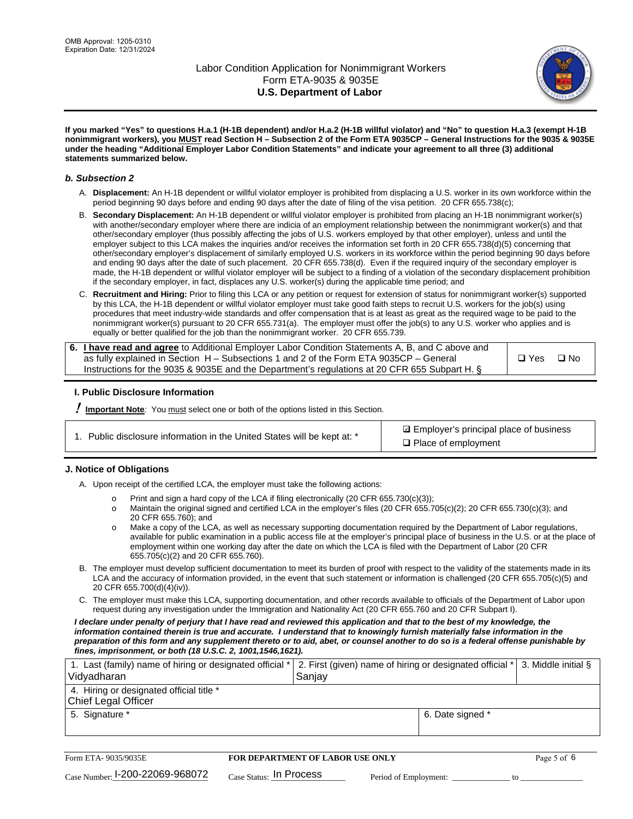

**If you marked "Yes" to questions H.a.1 (H-1B dependent) and/or H.a.2 (H-1B willful violator) and "No" to question H.a.3 (exempt H-1B nonimmigrant workers), you MUST read Section H – Subsection 2 of the Form ETA 9035CP – General Instructions for the 9035 & 9035E under the heading "Additional Employer Labor Condition Statements" and indicate your agreement to all three (3) additional statements summarized below.**

#### *b. Subsection 2*

- A. **Displacement:** An H-1B dependent or willful violator employer is prohibited from displacing a U.S. worker in its own workforce within the period beginning 90 days before and ending 90 days after the date of filing of the visa petition. 20 CFR 655.738(c);
- B. **Secondary Displacement:** An H-1B dependent or willful violator employer is prohibited from placing an H-1B nonimmigrant worker(s) with another/secondary employer where there are indicia of an employment relationship between the nonimmigrant worker(s) and that other/secondary employer (thus possibly affecting the jobs of U.S. workers employed by that other employer), unless and until the employer subject to this LCA makes the inquiries and/or receives the information set forth in 20 CFR 655.738(d)(5) concerning that other/secondary employer's displacement of similarly employed U.S. workers in its workforce within the period beginning 90 days before and ending 90 days after the date of such placement. 20 CFR 655.738(d). Even if the required inquiry of the secondary employer is made, the H-1B dependent or willful violator employer will be subject to a finding of a violation of the secondary displacement prohibition if the secondary employer, in fact, displaces any U.S. worker(s) during the applicable time period; and
- C. **Recruitment and Hiring:** Prior to filing this LCA or any petition or request for extension of status for nonimmigrant worker(s) supported by this LCA, the H-1B dependent or willful violator employer must take good faith steps to recruit U.S. workers for the job(s) using procedures that meet industry-wide standards and offer compensation that is at least as great as the required wage to be paid to the nonimmigrant worker(s) pursuant to 20 CFR 655.731(a). The employer must offer the job(s) to any U.S. worker who applies and is equally or better qualified for the job than the nonimmigrant worker. 20 CFR 655.739.

| 6. I have read and agree to Additional Employer Labor Condition Statements A, B, and C above and |       |           |
|--------------------------------------------------------------------------------------------------|-------|-----------|
| as fully explained in Section H – Subsections 1 and 2 of the Form ETA 9035CP – General           | □ Yes | $\Box$ No |
| Instructions for the 9035 & 9035E and the Department's regulations at 20 CFR 655 Subpart H. §    |       |           |

#### **I. Public Disclosure Information**

! **Important Note***:* You must select one or both of the options listed in this Section.

| 1. Public disclosure information in the United States will be kept at: * |  |  |  |  |  |  |  |
|--------------------------------------------------------------------------|--|--|--|--|--|--|--|
|--------------------------------------------------------------------------|--|--|--|--|--|--|--|

**sqrt** Employer's principal place of business □ Place of employment

#### **J. Notice of Obligations**

A. Upon receipt of the certified LCA, the employer must take the following actions:

- o Print and sign a hard copy of the LCA if filing electronically (20 CFR 655.730(c)(3));<br>
Maintain the original signed and certified LCA in the employer's files (20 CFR 655.7
- Maintain the original signed and certified LCA in the employer's files (20 CFR 655.705(c)(2); 20 CFR 655.730(c)(3); and 20 CFR 655.760); and
- o Make a copy of the LCA, as well as necessary supporting documentation required by the Department of Labor regulations, available for public examination in a public access file at the employer's principal place of business in the U.S. or at the place of employment within one working day after the date on which the LCA is filed with the Department of Labor (20 CFR 655.705(c)(2) and 20 CFR 655.760).
- B. The employer must develop sufficient documentation to meet its burden of proof with respect to the validity of the statements made in its LCA and the accuracy of information provided, in the event that such statement or information is challenged (20 CFR 655.705(c)(5) and 20 CFR 655.700(d)(4)(iv)).
- C. The employer must make this LCA, supporting documentation, and other records available to officials of the Department of Labor upon request during any investigation under the Immigration and Nationality Act (20 CFR 655.760 and 20 CFR Subpart I).

*I declare under penalty of perjury that I have read and reviewed this application and that to the best of my knowledge, the*  information contained therein is true and accurate. I understand that to knowingly furnish materially false information in the *preparation of this form and any supplement thereto or to aid, abet, or counsel another to do so is a federal offense punishable by fines, imprisonment, or both (18 U.S.C. 2, 1001,1546,1621).*

| 1. Last (family) name of hiring or designated official *   2. First (given) name of hiring or designated official *   3. Middle initial §<br>Vidyadharan | Saniav           |  |
|----------------------------------------------------------------------------------------------------------------------------------------------------------|------------------|--|
| 4. Hiring or designated official title *<br>Chief Legal Officer                                                                                          |                  |  |
| 5. Signature *                                                                                                                                           | 6. Date signed * |  |

| Form ETA-9035/9035E                         | FOR DEPARTMENT OF LABOR USE ONLY   |                       | Page 5 of 6 |
|---------------------------------------------|------------------------------------|-----------------------|-------------|
| $_{\text{Case Number:}}$ 1-200-22069-968072 | $_{\rm Case~S status:}$ In Process | Period of Employment: |             |